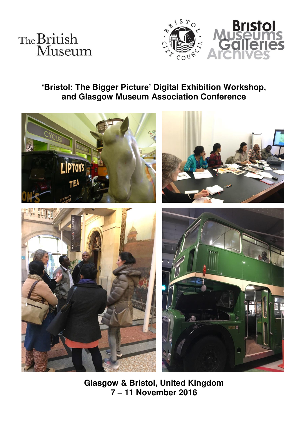



# **'Bristol: The Bigger Picture' Digital Exhibition Workshop, and Glasgow Museum Association Conference**



**Glasgow & Bristol, United Kingdom 7 – 11 November 2016**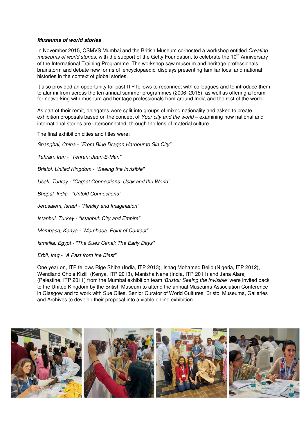## *Museums of world stories*

In November 2015, CSMVS Mumbai and the British Museum co-hosted a workshop entitled *Creating museums of world stories,* with the support of the Getty Foundation, to celebrate the 10<sup>th</sup> Anniversary of the International Training Programme. The workshop saw museum and heritage professionals brainstorm and debate new forms of 'encyclopaedic' displays presenting familiar local and national histories in the context of global stories.

It also provided an opportunity for past ITP fellows to reconnect with colleagues and to introduce them to alumni from across the ten annual summer programmes (2006–2015), as well as offering a forum for networking with museum and heritage professionals from around India and the rest of the world.

As part of their remit, delegates were split into groups of mixed nationality and asked to create exhibition proposals based on the concept of *Your city and the world* – examining how national and international stories are interconnected, through the lens of material culture.

The final exhibition cities and titles were:

*Shanghai, China - "From Blue Dragon Harbour to Sin City"* 

*Tehran, Iran - "Tehran: Jaan-E-Man"* 

*Bristol, United Kingdom - "Seeing the Invisible"* 

*Usak, Turkey - "Carpet Connections: Usak and the World"*

*Bhopal, India - "Untold Connections"*

*Jerusalem, Israel - "Reality and Imagination"* 

*Istanbul, Turkey - "Istanbul: City and Empire"* 

*Mombasa, Kenya - "Mombasa: Point of Contact"* 

*Ismailia, Egypt - "The Suez Canal: The Early Days"* 

*Erbil, Iraq - "A Past from the Blast"* 

One year on, ITP fellows Rige Shiba (India, ITP 2013), Ishaq Mohamed Bello (Nigeria, ITP 2012), Wendland Chole Kiziili (Kenya, ITP 2013), Manisha Nene (India, ITP 2011) and Jana Alaraj (Palestine, ITP 2011) from the Mumbai exhibition team *'Bristol: Seeing the Invisible'* were invited back to the United Kingdom by the British Museum to attend the annual Museums Association Conference in Glasgow and to work with Sue Giles, Senior Curator of World Cultures, Bristol Museums, Galleries and Archives to develop their proposal into a viable online exhibition.

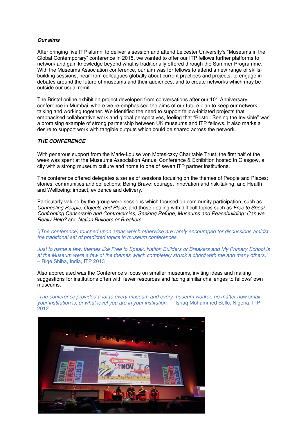## *Our aims*

After bringing five ITP alumni to deliver a session and attend Leicester University's "Museums in the Global Contemporary" conference in 2015, we wanted to offer our ITP fellows further platforms to network and gain knowledge beyond what is traditionally offered through the Summer Programme. With the Museums Association conference, our aim was for fellows to attend a new range of skillsbuilding sessions, hear from colleagues globally about current practices and projects, to engage in debates around the future of museums and their audiences, and to create networks which may be outside our usual remit.

The Bristol online exhibition project developed from conversations after our  $10<sup>th</sup>$  Anniversary conference in Mumbai, where we re-emphasised the aims of our future plan to keep our network talking and working together. We identified the need to support fellow-initiated projects that emphasised collaborative work and global perspectives, feeling that "Bristol: Seeing the Invisible" was a promising example of strong partnership between UK museums and ITP fellows. It also marks a desire to support work with tangible outputs which could be shared across the network.

### *THE CONFERENCE*

With generous support from the Marie-Louise von Motesiczky Charitable Trust, the first half of the week was spent at the Museums Association Annual Conference & Exhibition hosted in Glasgow, a city with a strong museum culture and home to one of seven ITP partner institutions.

The conference offered delegates a series of sessions focusing on the themes of People and Places: stories, communities and collections; Being Brave: courage, innovation and risk-taking; and Health and Wellbeing: impact, evidence and delivery.

Particularly valued by the group were sessions which focused on community participation, such as *Connecting People, Objects and Place*, and those dealing with difficult topics such as *Free to Speak: Confronting Censorship and Controversies, Seeking Refuge, Museums and Peacebuilding: Can we Really Help?* and *Nation Builders or Breakers.* 

*"(The conference) touched upon areas which otherwise are rarely encouraged for discussions amidst the traditional set of predicted topics in museum conferences.* 

*Just to name a few, themes like Free to Speak, Nation Builders or Breakers and My Primary School is at the Museum were a few of the themes which completely struck a chord with me and many others."* – Rige Shiba, India, ITP 2013

Also appreciated was the Conference's focus on smaller museums, inviting ideas and making suggestions for institutions often with fewer resources and facing similar challenges to fellows' own museums.

*"The conference provided a lot to every museum and every museum worker, no matter how small your institution is, or what level you are in your institution." – Ishaq Mohammed Bello, Nigeria, ITP* 2012

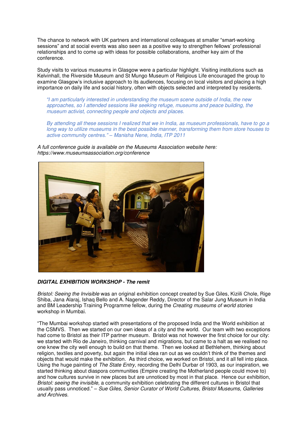The chance to network with UK partners and international colleagues at smaller "smart-working sessions" and at social events was also seen as a positive way to strengthen fellows' professional relationships and to come up with ideas for possible collaborations, another key aim of the conference.

Study visits to various museums in Glasgow were a particular highlight. Visiting institutions such as Kelvinhall, the Riverside Museum and St Mungo Museum of Religious Life encouraged the group to examine Glasgow's inclusive approach to its audiences, focusing on local visitors and placing a high importance on daily life and social history, often with objects selected and interpreted by residents.

*"I am particularly interested in understanding the museum scene outside of India, the new approaches, so I attended sessions like seeking refuge, museums and peace building, the museum activist, connecting people and objects and places.* 

*By attending all these sessions I realized that we in India, as museum professionals, have to go a long way to utilize museums in the best possible manner, transforming them from store houses to active community centres." – Manisha Nene, India, ITP 2011* 

*A full conference guide is available on the Museums Association website here: <https://www.museumsassociation.org/conference>*



*DIGITAL EXHIBITION WORKSHOP - The remit* 

*Bristol: Seeing the Invisible* was an original exhibition concept created by Sue Giles, Kiziili Chole, Rige Shiba, Jana Alaraj, Ishaq Bello and A. Nagender Reddy, Director of the Salar Jung Museum in India and BM Leadership Training Programme fellow, during the *Creating museums of world stories*  workshop in Mumbai.

"The Mumbai workshop started with presentations of the proposed India and the World exhibition at the CSMVS. Then we started on our own ideas of a city and the world. Our team with two exceptions had come to Bristol as their ITP partner museum. Bristol was not however the first choice for our city: we started with Rio de Janeiro, thinking carnival and migrations, but came to a halt as we realised no one knew the city well enough to build on that theme. Then we looked at Bethlehem, thinking about religion, textiles and poverty, but again the initial idea ran out as we couldn't think of the themes and objects that would make the exhibition. As third choice, we worked on Bristol, and it all fell into place. Using the huge painting of *The State Entry*, recording the Delhi Durbar of 1903, as our inspiration, we started thinking about diaspora communities (Empire creating the Motherland people could move to) and how cultures survive in new places but are unnoticed by most in that place. Hence our exhibition, *Bristol: seeing the invisible,* a community exhibition celebrating the different cultures in Bristol that usually pass unnoticed." – *Sue Giles, Senior Curator of World Cultures, Bristol Museums, Galleries and Archives.*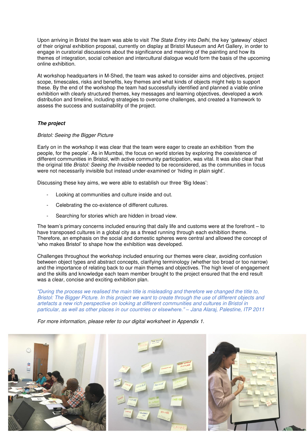Upon arriving in Bristol the team was able to visit *The State Entry into Delhi,* the key 'gateway' object of their original exhibition proposal, currently on display at Bristol Museum and Art Gallery, in order to engage in curatorial discussions about the significance and meaning of the painting and how its themes of integration, social cohesion and intercultural dialogue would form the basis of the upcoming online exhibition.

At workshop headquarters in M-Shed, the team was asked to consider aims and objectives, project scope, timescales, risks and benefits, key themes and what kinds of objects might help to support these. By the end of the workshop the team had successfully identified and planned a viable online exhibition with clearly structured themes, key messages and learning objectives, developed a work distribution and timeline, including strategies to overcome challenges, and created a framework to assess the success and sustainability of the project.

## *The project*

#### *Bristol: Seeing the Bigger Picture*

Early on in the workshop it was clear that the team were eager to create an exhibition 'from the people, for the people'. As in Mumbai, the focus on world stories by exploring the coexistence of different communities in Bristol, with active community participation, was vital. It was also clear that the original title *Bristol: Seeing the Invisible* needed to be reconsidered, as the communities in focus were not necessarily invisible but instead under-examined or 'hiding in plain sight'.

Discussing these key aims, we were able to establish our three 'Big Ideas':

- Looking at communities and culture inside and out.
- Celebrating the co-existence of different cultures.
- Searching for stories which are hidden in broad view.

The team's primary concerns included ensuring that daily life and customs were at the forefront – to have transposed cultures in a global city as a thread running through each exhibition theme. Therefore, an emphasis on the social and domestic spheres were central and allowed the concept of 'who makes Bristol' to shape how the exhibition was developed.

Challenges throughout the workshop included ensuring our themes were clear, avoiding confusion between object types and abstract concepts, clarifying terminology (whether too broad or too narrow) and the importance of relating back to our main themes and objectives. The high level of engagement and the skills and knowledge each team member brought to the project ensured that the end result was a clear, concise and exciting exhibition plan.

*"During the process we realised the main title is misleading and therefore we changed the title to, Bristol: The Bigger Picture. In this project we want to create through the use of different objects and artefacts a new rich perspective on looking at different communities and cultures in Bristol in particular, as well as other places in our countries or elsewhere." – Jana Alaraj, Palestine, ITP 2011* 

*For more information, please refer to our digital worksheet in Appendix 1.*

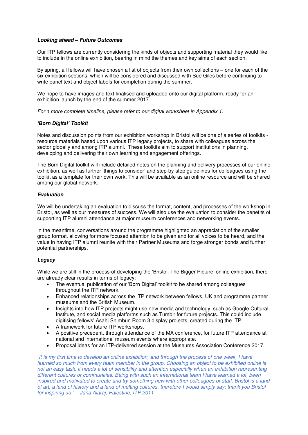## *Looking ahead – Future Outcomes*

Our ITP fellows are currently considering the kinds of objects and supporting material they would like to include in the online exhibition, bearing in mind the themes and key aims of each section.

By spring, all fellows will have chosen a list of objects from their own collections – one for each of the six exhibition sections, which will be considered and discussed with Sue Giles before continuing to write panel text and object labels for completion during the summer.

We hope to have images and text finalised and uploaded onto our digital platform, ready for an exhibition launch by the end of the summer 2017.

*For a more complete timeline, please refer to our digital worksheet in Appendix 1.*

## *'Born Digital' Toolkit*

Notes and discussion points from our exhibition workshop in Bristol will be one of a series of toolkits resource materials based upon various ITP legacy projects, to share with colleagues across the sector globally and among ITP alumni. These toolkits aim to support institutions in planning, developing and delivering their own learning and engagement offerings.

The Born Digital toolkit will include detailed notes on the planning and delivery processes of our online exhibition, as well as further 'things to consider' and step-by-step guidelines for colleagues using the toolkit as a template for their own work. This will be available as an online resource and will be shared among our global network.

## *Evaluation*

We will be undertaking an evaluation to discuss the format, content, and processes of the workshop in Bristol, as well as our measures of success. We will also use the evaluation to consider the benefits of supporting ITP alumni attendance at major museum conferences and networking events.

In the meantime, conversations around the programme highlighted an appreciation of the smaller group format, allowing for more focused attention to be given and for all voices to be heard, and the value in having ITP alumni reunite with their Partner Museums and forge stronger bonds and further potential partnerships.

#### *Legacy*

While we are still in the process of developing the 'Bristol: The Bigger Picture' online exhibition, there are already clear results in terms of legacy:

- The eventual publication of our 'Born Digital' toolkit to be shared among colleagues throughout the ITP network.
- Enhanced relationships across the ITP network between fellows, UK and programme partner museums and the British Museum.
- Insights into how ITP projects might use new media and technology, such as Google Cultural Institute, and social media platforms such as Tumblr for future projects. This could include digitising fellows' Asahi Shimbun Room 3 display projects, created during the ITP.
- A framework for future ITP workshops.
- A positive precedent, through attendance of the MA conference, for future ITP attendance at national and international museum events where appropriate.
- Proposal ideas for an ITP-delivered session at the Museums Association Conference 2017.

*"It is my first time to develop an online exhibition, and through the process of one week, I have learned so much from every team member in the group. Choosing an object to be exhibited online is not an easy task, it needs a lot of sensibility and attention especially when an exhibition representing different cultures or communities. Being with such an international team I have learned a lot, been inspired and motivated to create and try something new with other colleagues or staff. Bristol is a land of art, a land of history and a land of melting cultures, therefore I would simply say: thank you Bristol for inspiring us." – Jana Alaraj, Palestine, ITP 2011*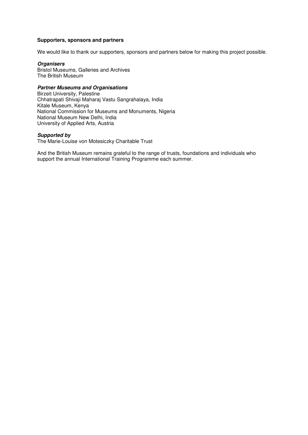### **Supporters, sponsors and partners**

We would like to thank our supporters, sponsors and partners below for making this project possible.

#### *Organisers*

Bristol Museums, Galleries and Archives The British Museum

## *Partner Museums and Organisations*

Birzeit University, Palestine Chhatrapati Shivaji Maharaj Vastu Sangrahalaya, India Kitale Museum, Kenya National Commission for Museums and Monuments, Nigeria National Museum New Delhi, India University of Applied Arts, Austria

#### *Supported by*

The Marie-Louise von Motesiczky Charitable Trust

And the British Museum remains grateful to the range of trusts, foundations and individuals who support the annual International Training Programme each summer.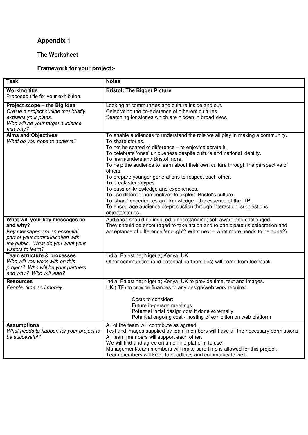# **Appendix 1**

## **The Worksheet**

# **Framework for your project:-**

| <b>Task</b>                                                                                                                                                               | <b>Notes</b>                                                                                                                                                                                                                                                                                                                                                                                                                                                                                                                                                                                                                                                                                                                        |
|---------------------------------------------------------------------------------------------------------------------------------------------------------------------------|-------------------------------------------------------------------------------------------------------------------------------------------------------------------------------------------------------------------------------------------------------------------------------------------------------------------------------------------------------------------------------------------------------------------------------------------------------------------------------------------------------------------------------------------------------------------------------------------------------------------------------------------------------------------------------------------------------------------------------------|
| <b>Working title</b><br>Proposed title for your exhibition.                                                                                                               | <b>Bristol: The Bigger Picture</b>                                                                                                                                                                                                                                                                                                                                                                                                                                                                                                                                                                                                                                                                                                  |
| Project scope - the Big idea<br>Create a project outline that briefly<br>explains your plans.<br>Who will be your target audience<br>and why?                             | Looking at communities and culture inside and out.<br>Celebrating the co-existence of different cultures.<br>Searching for stories which are hidden in broad view.                                                                                                                                                                                                                                                                                                                                                                                                                                                                                                                                                                  |
| <b>Aims and Objectives</b><br>What do you hope to achieve?                                                                                                                | To enable audiences to understand the role we all play in making a community.<br>To share stories.<br>To not be scared of difference - to enjoy/celebrate it.<br>To celebrate 'ones' uniqueness despite culture and national identity.<br>To learn/understand Bristol more.<br>To help the audience to learn about their own culture through the perspective of<br>others.<br>To prepare younger generations to respect each other.<br>To break stereotypes.<br>To pass on knowledge and experiences.<br>To use different perspectives to explore Bristol's culture.<br>To 'share' experiences and knowledge - the essence of the ITP.<br>To encourage audience co-production through interaction, suggestions,<br>objects/stories. |
| What will your key messages be<br>and why?<br>Key messages are an essential<br>part of your communication with<br>the public. What do you want your<br>visitors to learn? | Audience should be inspired; understanding; self-aware and challenged.<br>They should be encouraged to take action and to participate (is celebration and<br>acceptance of difference 'enough'? What next - what more needs to be done?)                                                                                                                                                                                                                                                                                                                                                                                                                                                                                            |
| Team structure & processes<br>Who will you work with on this<br>project? Who will be your partners<br>and why? Who will lead?                                             | India; Palestine; Nigeria; Kenya; UK.<br>Other communities (and potential partnerships) will come from feedback.                                                                                                                                                                                                                                                                                                                                                                                                                                                                                                                                                                                                                    |
| <b>Resources</b><br>People, time and money.                                                                                                                               | India; Palestine; Nigeria; Kenya; UK to provide time, text and images.<br>UK (ITP) to provide finances to any design/web work required.<br>Costs to consider:<br>Future in-person meetings<br>Potential initial design cost if done externally<br>Potential ongoing cost - hosting of exhibition on web platform                                                                                                                                                                                                                                                                                                                                                                                                                    |
| <b>Assumptions</b><br>What needs to happen for your project to<br>be successful?                                                                                          | All of the team will contribute as agreed.<br>Text and images supplied by team members will have all the necessary permissions<br>All team members will support each other.<br>We will find and agree on an online platform to use.<br>Management/team members will make sure time is allowed for this project.<br>Team members will keep to deadlines and communicate well.                                                                                                                                                                                                                                                                                                                                                        |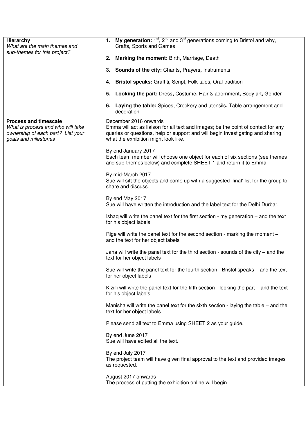| Hierarchy<br>What are the main themes and                                                                                      | My generation: $1^{st}$ , $2^{nd}$ and $3^{rd}$ generations coming to Bristol and why,<br>1.<br>Crafts, Sports and Games                                                                                                             |  |  |  |  |  |
|--------------------------------------------------------------------------------------------------------------------------------|--------------------------------------------------------------------------------------------------------------------------------------------------------------------------------------------------------------------------------------|--|--|--|--|--|
| sub-themes for this project?                                                                                                   | Marking the moment: Birth, Marriage, Death<br>2.                                                                                                                                                                                     |  |  |  |  |  |
|                                                                                                                                | <b>Sounds of the city: Chants, Prayers, Instruments</b><br>3.                                                                                                                                                                        |  |  |  |  |  |
|                                                                                                                                | <b>Bristol speaks:</b> Graffiti, Script, Folk tales, Oral tradition<br>4.                                                                                                                                                            |  |  |  |  |  |
|                                                                                                                                | <b>Looking the part:</b> Dress, Costume, Hair & adornment, Body art, Gender<br>5.                                                                                                                                                    |  |  |  |  |  |
|                                                                                                                                | <b>Laying the table:</b> Spices, Crockery and utensils, Table arrangement and<br>6.<br>decoration                                                                                                                                    |  |  |  |  |  |
| <b>Process and timescale</b><br>What is process and who will take<br>ownership of each part? List your<br>goals and milestones | December 2016 onwards<br>Emma will act as liaison for all text and images; be the point of contact for any<br>queries or questions, help or support and will begin investigating and sharing<br>what the exhibition might look like. |  |  |  |  |  |
|                                                                                                                                | By end January 2017<br>Each team member will choose one object for each of six sections (see themes<br>and sub-themes below) and complete SHEET 1 and return it to Emma.                                                             |  |  |  |  |  |
|                                                                                                                                | By mid-March 2017<br>Sue will sift the objects and come up with a suggested 'final' list for the group to<br>share and discuss.                                                                                                      |  |  |  |  |  |
|                                                                                                                                | By end May 2017<br>Sue will have written the introduction and the label text for the Delhi Durbar.                                                                                                                                   |  |  |  |  |  |
|                                                                                                                                | Ishaq will write the panel text for the first section - my generation – and the text<br>for his object labels                                                                                                                        |  |  |  |  |  |
|                                                                                                                                | Rige will write the panel text for the second section - marking the moment -<br>and the text for her object labels                                                                                                                   |  |  |  |  |  |
|                                                                                                                                | Jana will write the panel text for the third section - sounds of the city $-$ and the<br>text for her object labels                                                                                                                  |  |  |  |  |  |
|                                                                                                                                | Sue will write the panel text for the fourth section - Bristol speaks – and the text<br>for her object labels                                                                                                                        |  |  |  |  |  |
|                                                                                                                                | Kiziili will write the panel text for the fifth section - looking the part – and the text<br>for his object labels                                                                                                                   |  |  |  |  |  |
|                                                                                                                                | Manisha will write the panel text for the sixth section - laying the table – and the<br>text for her object labels                                                                                                                   |  |  |  |  |  |
|                                                                                                                                | Please send all text to Emma using SHEET 2 as your guide.                                                                                                                                                                            |  |  |  |  |  |
|                                                                                                                                | By end June 2017<br>Sue will have edited all the text.                                                                                                                                                                               |  |  |  |  |  |
|                                                                                                                                | By end July 2017<br>The project team will have given final approval to the text and provided images<br>as requested.                                                                                                                 |  |  |  |  |  |
|                                                                                                                                | August 2017 onwards<br>The process of putting the exhibition online will begin.                                                                                                                                                      |  |  |  |  |  |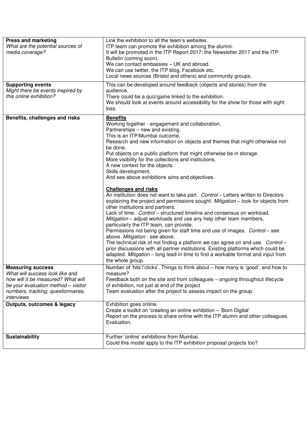| <b>Press and marketing</b><br>What are the potential sources of<br>media coverage?                                                                                                           | Link the exhibition to all the team's websites.<br>ITP team can promote the exhibition among the alumni.<br>It will be promoted in the ITP Report 2017; the Newsletter 2017 and the ITP<br>Bulletin (coming soon).<br>We can contact embassies - UK and abroad.<br>We can use twitter, the ITP blog, Facebook etc.<br>Local news sources (Bristol and others) and community groups.                                                                                                                                                                                                                                                                                                                                                                                                                                                                                                                                                                                                                                                                                                                                                                                                                                                                                                                                        |
|----------------------------------------------------------------------------------------------------------------------------------------------------------------------------------------------|----------------------------------------------------------------------------------------------------------------------------------------------------------------------------------------------------------------------------------------------------------------------------------------------------------------------------------------------------------------------------------------------------------------------------------------------------------------------------------------------------------------------------------------------------------------------------------------------------------------------------------------------------------------------------------------------------------------------------------------------------------------------------------------------------------------------------------------------------------------------------------------------------------------------------------------------------------------------------------------------------------------------------------------------------------------------------------------------------------------------------------------------------------------------------------------------------------------------------------------------------------------------------------------------------------------------------|
| <b>Supporting events</b><br>Might there be events inspired by<br>this online exhibition?                                                                                                     | This can be developed around feedback (objects and stories) from the<br>audience.<br>There could be a quiz/game linked to the exhibition.<br>We should look at events around accessibility for the show for those with sight<br>loss.                                                                                                                                                                                                                                                                                                                                                                                                                                                                                                                                                                                                                                                                                                                                                                                                                                                                                                                                                                                                                                                                                      |
| Benefits, challenges and risks                                                                                                                                                               | <b>Benefits</b><br>Working together - engagement and collaboration.<br>Partnerships - new and existing.<br>This is an ITP/Mumbai outcome.<br>Research and new information on objects and themes that might otherwise not<br>be done.<br>Put objects on a public platform that might otherwise be in storage.<br>More visibility for the collections and institutions.<br>A new context for the objects.<br>Skills development.<br>And see above exhibitions aims and objectives.<br><b>Challenges and risks</b><br>An institution does not want to take part. Control - Letters written to Directors<br>explaining the project and permissions sought. Mitigation - look for objects from<br>other institutions and partners.<br>Lack of time. Control - structured timeline and consensus on workload.<br>Mitigation – adjust workloads and use any help other team members,<br>particularly the ITP team, can provide.<br>Permissions not being given for staff time and use of images. Control - see<br>above. Mitigation - see above.<br>The technical risk of not finding a platform we can agree on and use. Control -<br>prior discussions with all partner institutions. Existing platforms which could be<br>adapted. Mitigation - long lead-in time to find a workable format and input from<br>the whole group. |
| <b>Measuring success</b><br>What will success look like and<br>how will it be measured? What will<br>be your evaluation method - visitor<br>numbers, tracking, questionnaires,<br>interviews | Number of 'hits'/'clicks'. Things to think about - how many is 'good', and how to<br>measure?<br>Feedback both on the site and from colleagues – ongoing throughout lifecycle<br>of exhibition, not just at end of the project<br>Team evaluation after the project to assess impact on the group.                                                                                                                                                                                                                                                                                                                                                                                                                                                                                                                                                                                                                                                                                                                                                                                                                                                                                                                                                                                                                         |
| <b>Outputs, outcomes &amp; legacy</b>                                                                                                                                                        | Exhibition goes online.<br>Create a toolkit on 'creating an online exhibition - 'Born Digital'<br>Report on the process to share online with the ITP alumni and other colleagues.<br>Evaluation.                                                                                                                                                                                                                                                                                                                                                                                                                                                                                                                                                                                                                                                                                                                                                                                                                                                                                                                                                                                                                                                                                                                           |
| Sustainability                                                                                                                                                                               | Further 'online' exhibitions from Mumbai.<br>Could this model apply to the ITP exhibition proposal projects too?                                                                                                                                                                                                                                                                                                                                                                                                                                                                                                                                                                                                                                                                                                                                                                                                                                                                                                                                                                                                                                                                                                                                                                                                           |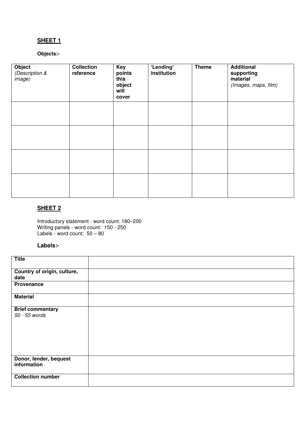# **SHEET 1**

## **Objects:-**

| Object<br>(Description &<br><i>image)</i> | <b>Collection</b><br>reference | Key<br>points<br>this<br>object<br>will<br>cover | 'Lending'<br>institution | <b>Theme</b> | <b>Additional</b><br>supporting<br>material<br>(Images, maps, film) |
|-------------------------------------------|--------------------------------|--------------------------------------------------|--------------------------|--------------|---------------------------------------------------------------------|
|                                           |                                |                                                  |                          |              |                                                                     |
|                                           |                                |                                                  |                          |              |                                                                     |
|                                           |                                |                                                  |                          |              |                                                                     |
|                                           |                                |                                                  |                          |              |                                                                     |

## **SHEET 2**

Introductory statement - word count: 180–200 Writing panels - word count: 150 - 250 Labels - word count: 50 – 80

## **Labels:-**

| <b>Title</b>                |  |
|-----------------------------|--|
| Country of origin, culture, |  |
|                             |  |
| date                        |  |
| Provenance                  |  |
| <b>Material</b>             |  |
| <b>Brief commentary</b>     |  |
| 50 - 55 words               |  |
|                             |  |
|                             |  |
|                             |  |
|                             |  |
|                             |  |
|                             |  |
|                             |  |
|                             |  |
|                             |  |
| Donor, lender, bequest      |  |
| information                 |  |
|                             |  |
| <b>Collection number</b>    |  |
|                             |  |
|                             |  |